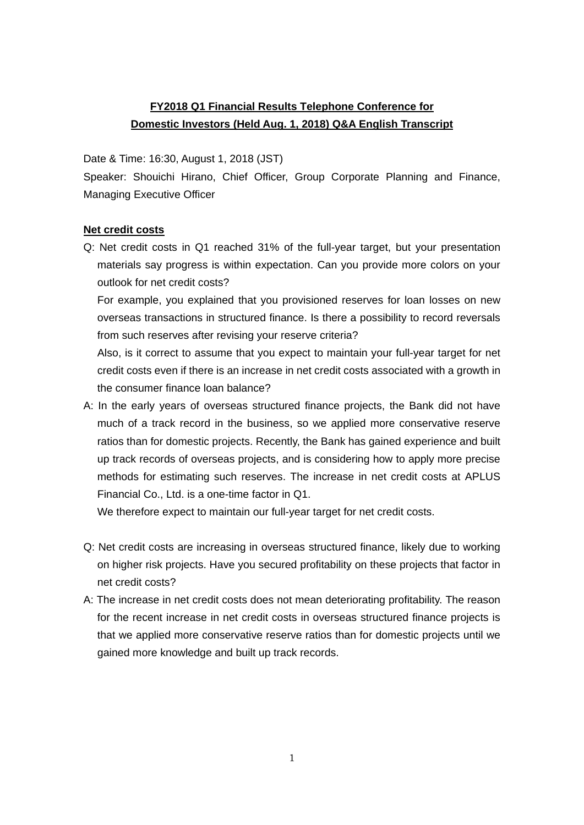## **FY2018 Q1 Financial Results Telephone Conference for Domestic Investors (Held Aug. 1, 2018) Q&A English Transcript**

Date & Time: 16:30, August 1, 2018 (JST)

Speaker: Shouichi Hirano, Chief Officer, Group Corporate Planning and Finance, Managing Executive Officer

## **Net credit costs**

Q: Net credit costs in Q1 reached 31% of the full-year target, but your presentation materials say progress is within expectation. Can you provide more colors on your outlook for net credit costs?

For example, you explained that you provisioned reserves for loan losses on new overseas transactions in structured finance. Is there a possibility to record reversals from such reserves after revising your reserve criteria?

Also, is it correct to assume that you expect to maintain your full-year target for net credit costs even if there is an increase in net credit costs associated with a growth in the consumer finance loan balance?

A: In the early years of overseas structured finance projects, the Bank did not have much of a track record in the business, so we applied more conservative reserve ratios than for domestic projects. Recently, the Bank has gained experience and built up track records of overseas projects, and is considering how to apply more precise methods for estimating such reserves. The increase in net credit costs at APLUS Financial Co., Ltd. is a one-time factor in Q1.

We therefore expect to maintain our full-year target for net credit costs.

- Q: Net credit costs are increasing in overseas structured finance, likely due to working on higher risk projects. Have you secured profitability on these projects that factor in net credit costs?
- A: The increase in net credit costs does not mean deteriorating profitability. The reason for the recent increase in net credit costs in overseas structured finance projects is that we applied more conservative reserve ratios than for domestic projects until we gained more knowledge and built up track records.